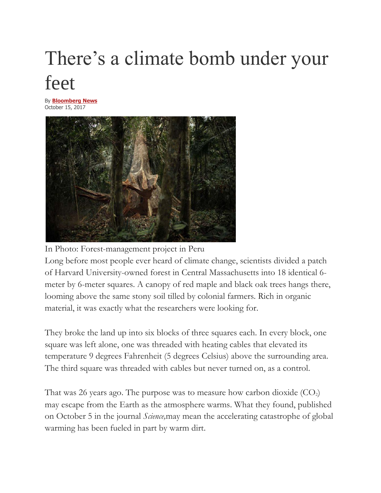## There's a climate bomb under your feet

By **[Bloomberg News](https://businessmirror.com.ph/author/bloomberg/)** October 15, 2017



In Photo: Forest-management project in Peru

Long before most people ever heard of climate change, scientists divided a patch of Harvard University-owned forest in Central Massachusetts into 18 identical 6 meter by 6-meter squares. A canopy of red maple and black oak trees hangs there, looming above the same stony soil tilled by colonial farmers. Rich in organic material, it was exactly what the researchers were looking for.

They broke the land up into six blocks of three squares each. In every block, one square was left alone, one was threaded with heating cables that elevated its temperature 9 degrees Fahrenheit (5 degrees Celsius) above the surrounding area. The third square was threaded with cables but never turned on, as a control.

That was 26 years ago. The purpose was to measure how carbon dioxide  $(CO_2)$ may escape from the Earth as the atmosphere warms. What they found, published on October 5 in the journal *Science,*may mean the accelerating catastrophe of global warming has been fueled in part by warm dirt.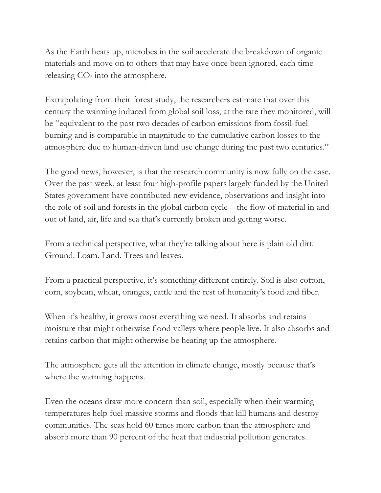As the Earth heats up, microbes in the soil accelerate the breakdown of organic materials and move on to others that may have once been ignored, each time releasing  $CO<sub>2</sub>$  into the atmosphere.

Extrapolating from their forest study, the researchers estimate that over this century the warming induced from global soil loss, at the rate they monitored, will be "equivalent to the past two decades of carbon emissions from fossil-fuel burning and is comparable in magnitude to the cumulative carbon losses to the atmosphere due to human-driven land use change during the past two centuries."

The good news, however, is that the research community is now fully on the case. Over the past week, at least four high-profile papers largely funded by the United States government have contributed new evidence, observations and insight into the role of soil and forests in the global carbon cycle—the flow of material in and out of land, air, life and sea that"s currently broken and getting worse.

From a technical perspective, what they're talking about here is plain old dirt. Ground. Loam. Land. Trees and leaves.

From a practical perspective, it's something different entirely. Soil is also cotton, corn, soybean, wheat, oranges, cattle and the rest of humanity's food and fiber.

When it's healthy, it grows most everything we need. It absorbs and retains moisture that might otherwise flood valleys where people live. It also absorbs and retains carbon that might otherwise be heating up the atmosphere.

The atmosphere gets all the attention in climate change, mostly because that's where the warming happens.

Even the oceans draw more concern than soil, especially when their warming temperatures help fuel massive storms and floods that kill humans and destroy communities. The seas hold 60 times more carbon than the atmosphere and absorb more than 90 percent of the heat that industrial pollution generates.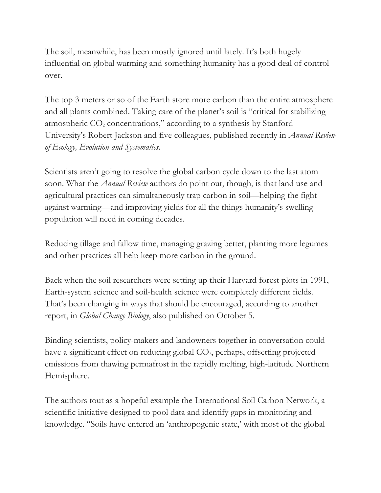The soil, meanwhile, has been mostly ignored until lately. It's both hugely influential on global warming and something humanity has a good deal of control over.

The top 3 meters or so of the Earth store more carbon than the entire atmosphere and all plants combined. Taking care of the planet's soil is "critical for stabilizing atmospheric  $CO<sub>2</sub>$  concentrations," according to a synthesis by Stanford University"s Robert Jackson and five colleagues, published recently in *Annual Review of Ecology, Evolution and Systematics*.

Scientists aren't going to resolve the global carbon cycle down to the last atom soon. What the *Annual Review* authors do point out, though, is that land use and agricultural practices can simultaneously trap carbon in soil—helping the fight against warming—and improving yields for all the things humanity's swelling population will need in coming decades.

Reducing tillage and fallow time, managing grazing better, planting more legumes and other practices all help keep more carbon in the ground.

Back when the soil researchers were setting up their Harvard forest plots in 1991, Earth-system science and soil-health science were completely different fields. That's been changing in ways that should be encouraged, according to another report, in *Global Change Biology*, also published on October 5.

Binding scientists, policy-makers and landowners together in conversation could have a significant effect on reducing global  $CO<sub>2</sub>$ , perhaps, offsetting projected emissions from thawing permafrost in the rapidly melting, high-latitude Northern Hemisphere.

The authors tout as a hopeful example the International Soil Carbon Network, a scientific initiative designed to pool data and identify gaps in monitoring and knowledge. "Soils have entered an 'anthropogenic state,' with most of the global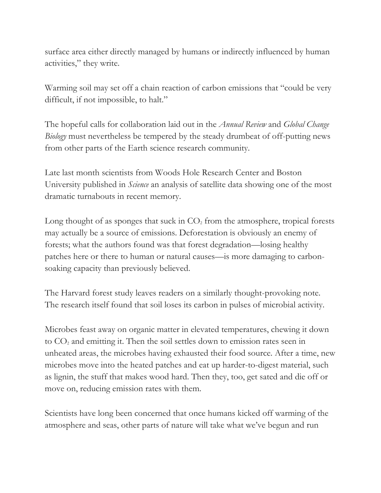surface area either directly managed by humans or indirectly influenced by human activities," they write.

Warming soil may set off a chain reaction of carbon emissions that "could be very difficult, if not impossible, to halt."

The hopeful calls for collaboration laid out in the *Annual Review* and *Global Change Biology* must nevertheless be tempered by the steady drumbeat of off-putting news from other parts of the Earth science research community.

Late last month scientists from Woods Hole Research Center and Boston University published in *Science* an analysis of satellite data showing one of the most dramatic turnabouts in recent memory.

Long thought of as sponges that suck in  $CO<sub>2</sub>$  from the atmosphere, tropical forests may actually be a source of emissions. Deforestation is obviously an enemy of forests; what the authors found was that forest degradation—losing healthy patches here or there to human or natural causes—is more damaging to carbonsoaking capacity than previously believed.

The Harvard forest study leaves readers on a similarly thought-provoking note. The research itself found that soil loses its carbon in pulses of microbial activity.

Microbes feast away on organic matter in elevated temperatures, chewing it down to CO<sup>2</sup> and emitting it. Then the soil settles down to emission rates seen in unheated areas, the microbes having exhausted their food source. After a time, new microbes move into the heated patches and eat up harder-to-digest material, such as lignin, the stuff that makes wood hard. Then they, too, get sated and die off or move on, reducing emission rates with them.

Scientists have long been concerned that once humans kicked off warming of the atmosphere and seas, other parts of nature will take what we"ve begun and run